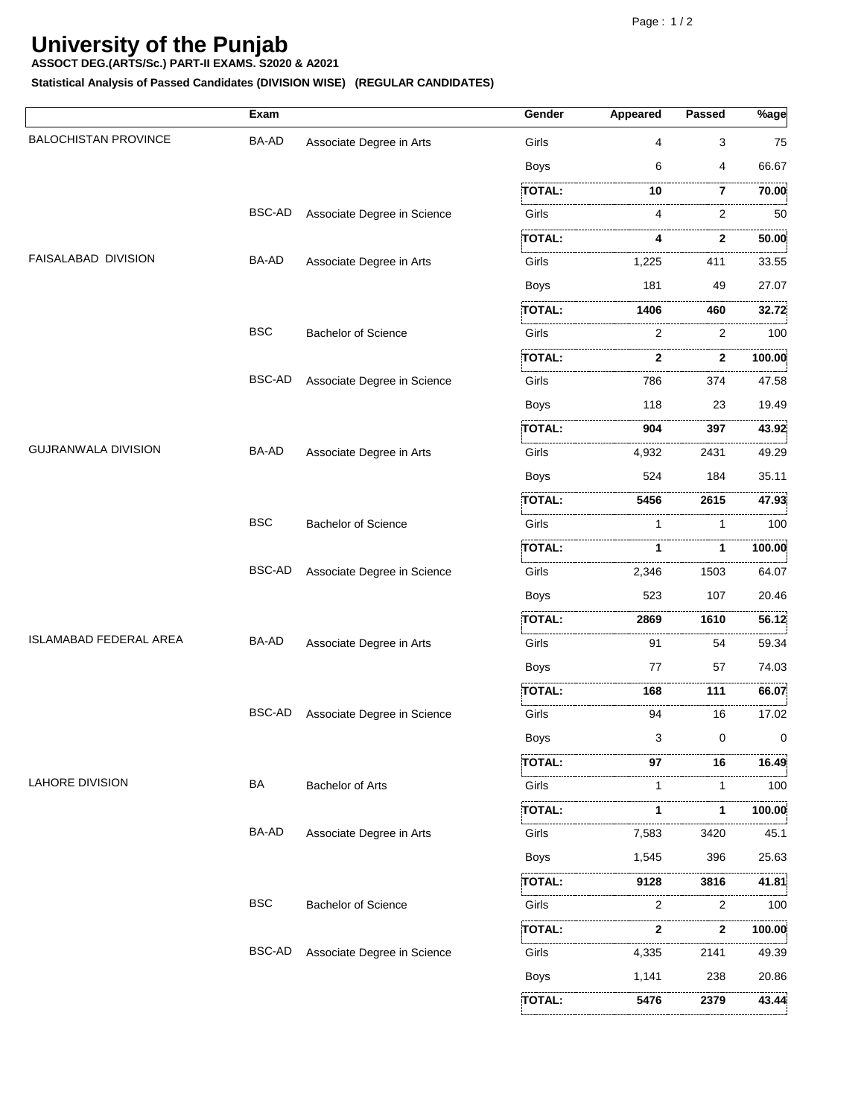**5476**

**TOTAL:**

**2379**

 **43.44**

## **University of the Punjab**

**ASSOCT DEG.(ARTS/Sc.) PART-II EXAMS. S2020 & A2021**

**Statistical Analysis of Passed Candidates (DIVISION WISE) (REGULAR CANDIDATES)**

|                               | Exam          |                             | Gender        | Appeared     | <b>Passed</b> | $\sqrt[3]{\text{age}}$ |
|-------------------------------|---------------|-----------------------------|---------------|--------------|---------------|------------------------|
| <b>BALOCHISTAN PROVINCE</b>   | <b>BA-AD</b>  | Associate Degree in Arts    | Girls         | 4            | 3             | 75                     |
|                               |               |                             | <b>Boys</b>   | 6            | 4             | 66.67                  |
|                               |               |                             | <b>TOTAL:</b> | 10           | 7             | 70.00                  |
|                               | <b>BSC-AD</b> | Associate Degree in Science | Girls         | 4            | .<br>2        | .<br>50                |
|                               |               |                             | TOTAL:        | 4            | $\mathbf{2}$  | .<br>50.00             |
| FAISALABAD DIVISION           | BA-AD         | Associate Degree in Arts    | Girls         | 1,225        | 411           | 33.55                  |
|                               |               |                             | <b>Boys</b>   | 181          | 49            | 27.07                  |
|                               |               |                             | <b>TOTAL:</b> | 1406         | 460           | 32.72                  |
|                               | <b>BSC</b>    | <b>Bachelor of Science</b>  | Girls         | 2            | 2             | 100                    |
|                               |               |                             | TOTAL:        | 2            | .<br>2        | .<br>100.00            |
|                               | <b>BSC-AD</b> | Associate Degree in Science | Girls         | 786          | 374           | 47.58                  |
|                               |               |                             | <b>Boys</b>   | 118          | 23            | 19.49                  |
|                               |               |                             | <b>TOTAL:</b> | 904          | 397           | 43.92                  |
| <b>GUJRANWALA DIVISION</b>    | BA-AD         | Associate Degree in Arts    | Girls         | .<br>4,932   | 2431          | 49.29                  |
|                               |               |                             | <b>Boys</b>   | 524          | 184           | 35.11                  |
|                               |               |                             | <b>TOTAL:</b> | 5456         | 2615          | 47.93                  |
|                               | <b>BSC</b>    | <b>Bachelor of Science</b>  | Girls         | 1            | 1             | 100                    |
|                               |               |                             | <b>TOTAL:</b> | 1            | 1             | 100.00                 |
|                               | <b>BSC-AD</b> | Associate Degree in Science | Girls         | 2,346        | 1503          | 64.07                  |
|                               |               |                             | <b>Boys</b>   | 523          | 107           | 20.46                  |
|                               |               |                             | <b>TOTAL:</b> | 2869         | 1610          | 56.12                  |
| <b>ISLAMABAD FEDERAL AREA</b> | BA-AD         | Associate Degree in Arts    | Girls         | 91           | 54            | 59.34                  |
|                               |               |                             | <b>Boys</b>   | 77           | 57            | 74.03                  |
|                               |               |                             | <b>TOTAL:</b> | 168          | 111           | 66.07                  |
|                               | <b>BSC-AD</b> | Associate Degree in Science | Girls         | 94           | 16            | 17.02                  |
|                               |               |                             | Boys          | 3            | 0             | 0                      |
|                               |               |                             | <b>TOTAL:</b> | 97           | 16            | 16.49                  |
| <b>LAHORE DIVISION</b>        | BA            | <b>Bachelor of Arts</b>     | Girls         | 1            | 1             | 100                    |
|                               |               |                             | <b>TOTAL:</b> | 1            | 1             | .<br>100.00            |
|                               | BA-AD         | Associate Degree in Arts    | Girls         | .<br>7,583   | 3420          | 45.1                   |
|                               |               |                             | Boys          | 1,545        | 396           | 25.63                  |
|                               |               |                             | <b>TOTAL:</b> | 9128         | 3816          | 41.81                  |
|                               | <b>BSC</b>    | <b>Bachelor of Science</b>  | Girls         | 2            | 2             | .<br>100               |
|                               |               |                             | <b>TOTAL:</b> | $\mathbf{2}$ | $\cdots$<br>2 | 100.00                 |
|                               | <b>BSC-AD</b> | Associate Degree in Science | Girls         | 4,335        | 2141          | 49.39                  |
|                               |               |                             | <b>Boys</b>   | 1,141        | 238           | 20.86                  |